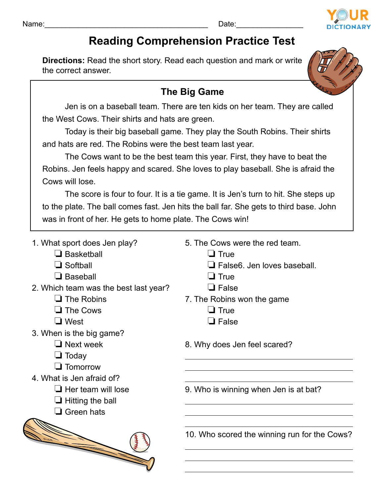## Name:\_\_\_\_\_\_\_\_\_\_\_\_\_\_\_\_\_\_\_\_\_\_\_\_\_\_\_\_\_\_\_\_\_\_\_\_\_\_\_ Date:\_\_\_\_\_\_\_\_\_\_\_\_\_\_\_\_



## **Reading Comprehension Practice Test**

**Directions:** Read the short story. Read each question and mark or write the correct answer.



## **The Big Game**

Jen is on a baseball team. There are ten kids on her team. They are called the West Cows. Their shirts and hats are green.

Today is their big baseball game. They play the South Robins. Their shirts and hats are red. The Robins were the best team last year.

The Cows want to be the best team this year. First, they have to beat the Robins. Jen feels happy and scared. She loves to play baseball. She is afraid the Cows will lose.

The score is four to four. It is a tie game. It is Jen's turn to hit. She steps up to the plate. The ball comes fast. Jen hits the ball far. She gets to third base. John was in front of her. He gets to home plate. The Cows win!

- 1. What sport does Jen play?
	- $\square$  Basketball
	- $\Box$  Softball
	- $\Box$  Baseball
- 2. Which team was the best last year?
	- $\Box$  The Robins
	- $\Box$  The Cows
	- $\Box$  West
- 3. When is the big game?
	- $\Box$  Next week
	- $\Box$  Today
	- $\Box$  Tomorrow
- 4. What is Jen afraid of?
	- $\Box$  Her team will lose
	- $\Box$  Hitting the ball
	- $\Box$  Green hats



- 5. The Cows were the red team.
	- $\Box$  True
	- $\Box$  False6. Jen loves baseball.
	- $\Box$  True
	- $\Box$  False
- 7. The Robins won the game
	- $\Box$  True
	- $\Box$  False
- 8. Why does Jen feel scared?

9. Who is winning when Jen is at bat?

10. Who scored the winning run for the Cows?